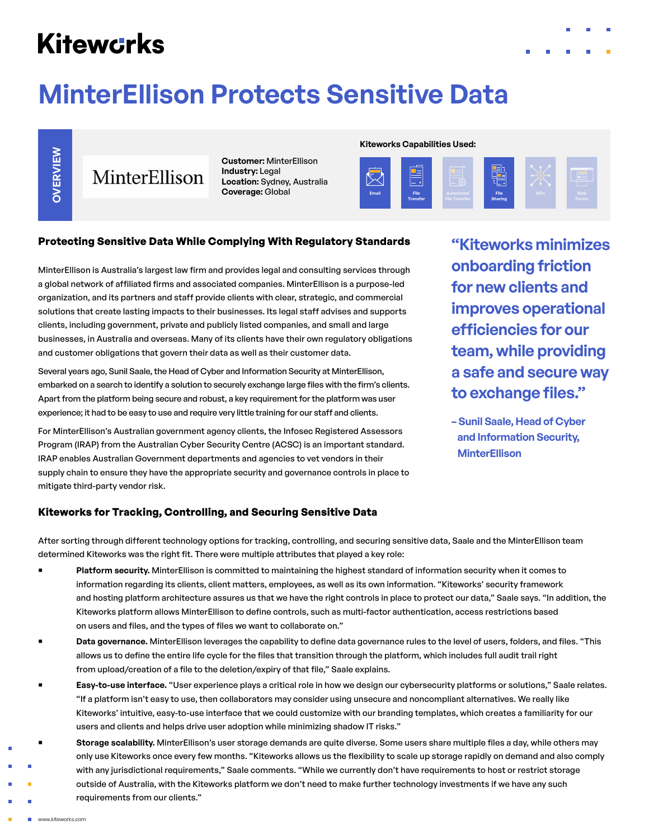# **Kitewcrks**

# **MinterEllison Protects Sensitive Data**



MinterEllison

**Customer:** MinterEllison **Industry:** Legal **Location:** Sydney, Australia **Coverage:** Global

### **Kiteworks Capabilities Used:**



# **Protecting Sensitive Data While Complying With Regulatory Standards**

MinterEllison is Australia's largest law firm and provides legal and consulting services through a global network of affiliated firms and associated companies. MinterEllison is a purpose-led organization, and its partners and staff provide clients with clear, strategic, and commercial solutions that create lasting impacts to their businesses. Its legal staff advises and supports clients, including government, private and publicly listed companies, and small and large businesses, in Australia and overseas. Many of its clients have their own regulatory obligations and customer obligations that govern their data as well as their customer data.

Several years ago, Sunil Saale, the Head of Cyber and Information Security at MinterEllison, embarked on a search to identify a solution to securely exchange large files with the firm's clients. Apart from the platform being secure and robust, a key requirement for the platform was user experience; it had to be easy to use and require very little training for our staff and clients.

For MinterEllison's Australian government agency clients, the Infosec Registered Assessors Program (IRAP) from the Australian Cyber Security Centre (ACSC) is an important standard. IRAP enables Australian Government departments and agencies to vet vendors in their supply chain to ensure they have the appropriate security and governance controls in place to mitigate third-party vendor risk.

**"Kiteworks minimizes onboarding friction for new clients and improves operational efficiencies for our team, while providing a safe and secure way to exchange files."**

**– Sunil Saale, Head of Cyber and Information Security, MinterEllison**

# **Kiteworks for Tracking, Controlling, and Securing Sensitive Data**

After sorting through different technology options for tracking, controlling, and securing sensitive data, Saale and the MinterEllison team determined Kiteworks was the right fit. There were multiple attributes that played a key role:

- Platform security. MinterEllison is committed to maintaining the highest standard of information security when it comes to information regarding its clients, client matters, employees, as well as its own information. "Kiteworks' security framework and hosting platform architecture assures us that we have the right controls in place to protect our data," Saale says. "In addition, the Kiteworks platform allows MinterEllison to define controls, such as multi-factor authentication, access restrictions based on users and files, and the types of files we want to collaborate on."
- ¡ **Data governance.** MinterEllison leverages the capability to define data governance rules to the level of users, folders, and files. "This allows us to define the entire life cycle for the files that transition through the platform, which includes full audit trail right from upload/creation of a file to the deletion/expiry of that file," Saale explains.
- ¡ **Easy-to-use interface.** "User experience plays a critical role in how we design our cybersecurity platforms or solutions," Saale relates. "If a platform isn't easy to use, then collaborators may consider using unsecure and noncompliant alternatives. We really like Kiteworks' intuitive, easy-to-use interface that we could customize with our branding templates, which creates a familiarity for our users and clients and helps drive user adoption while minimizing shadow IT risks."
- ¡ **Storage scalability.** MinterEllison's user storage demands are quite diverse. Some users share multiple files a day, while others may only use Kiteworks once every few months. "Kiteworks allows us the flexibility to scale up storage rapidly on demand and also comply with any jurisdictional requirements," Saale comments. "While we currently don't have requirements to host or restrict storage outside of Australia, with the Kiteworks platform we don't need to make further technology investments if we have any such requirements from our clients."